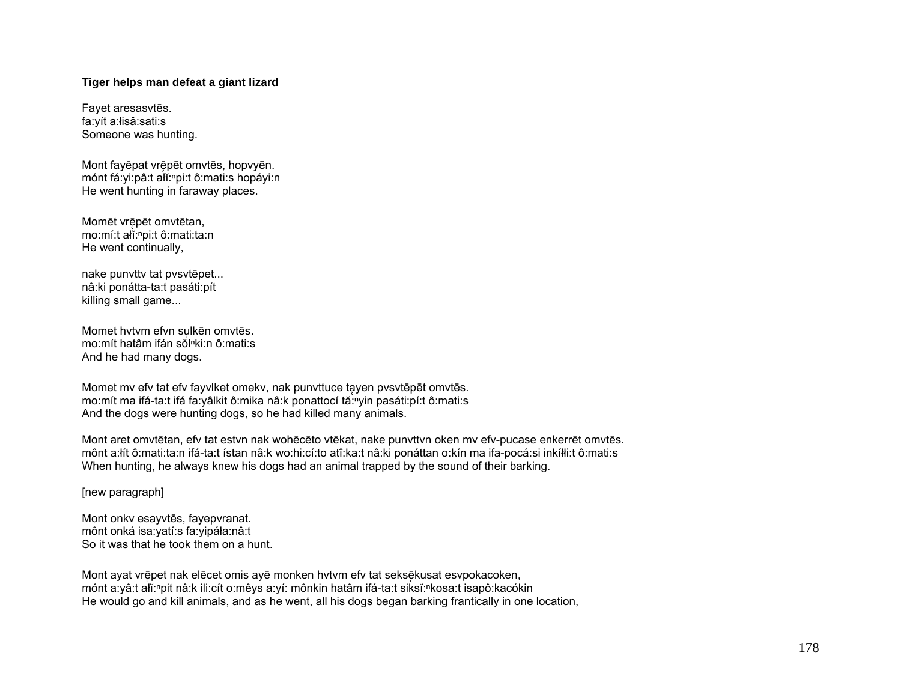## **Tiger helps man defeat a giant lizard**

Fayet aresasvtēs. fa:yít a:łisâ:sati:s Someone was hunting.

Mont fayēpat vrē̜pēt omvtēs, hopvyēn. mónt fá:yi:pâ:t ałĭ:<sup>ⁿ</sup>pi:t ô:mati:s hopáyi:n He went hunting in faraway places.

Momēt vrē̜pēt omvtētan, mo:mí:t ałĭ:<sup>ⁿ</sup>pi:t ô:mati:ta:n He went continually,

nake punvttv tat pvsvtēpet... nâ:ki ponátta-ta:t pasáti:pít killing small game...

Momet hvtvm efvn sulkēn omvtēs. ̜ mo:mít hatâm ifán sŏlⁿki:n ô:mati:s And he had many dogs.

Momet mv efv tat efv fayvlket omekv, nak punvttuce tayen pvsvtēpēt omvtēs. mo:mít ma ifá-ta:t ifá fa:yâlkit ô:mika nâ:k ponattocí tă:<sup>n</sup>yin pasáti:pí:t ô:mati:s And the dogs were hunting dogs, so he had killed many animals.

Mont aret omvtētan, efv tat estvn nak wohēcēto vtēkat, nake punvttvn oken mv efv-pucase enkerrēt omvtēs. mônt a:łít ô:mati:ta:n ifá-ta:t ístan nâ:k wo:hi:cí:to atî:ka:t nâ:ki ponáttan o:kín ma ifa-pocá:si inkíłłi:t ô:mati:s When hunting, he always knew his dogs had an animal trapped by the sound of their barking.

[new paragraph]

Mont onkv esayvtēs, fayepvranat. mônt onká isa:yatí:s fa:yipáła:nâ:t So it was that he took them on a hunt.

Mont ayat vrēpet nak elēcet omis ayē monken hvtvm efv tat seksēkusat esvpokacoken, mónt a:yâ:t ałĭ:<sup>ⁿ</sup>pit nâ:k ili:cít o:mêys a:yí: mônkin hatâm ifá-ta:t siksĭ:<sup>ⁿ</sup>kosa:t isapô:kacókin He would go and kill animals, and as he went, all his dogs began barking frantically in one location,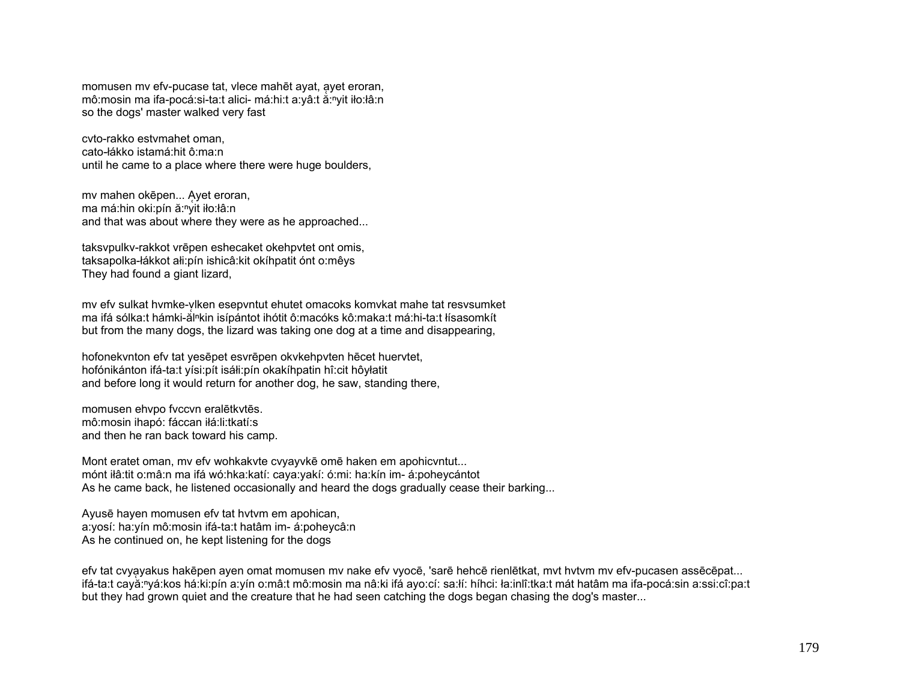momusen my efy-pucase tat, ylece mahēt ayat, ayet eroran, mô:mosin ma ifa-pocá:si-ta:t alici- má:hi:t a:yâ:t ă:nyit iło:łâ:n so the dogs' master walked very fast

cvto-rakko estvmahet oman, cato-łákko istamá:hit ô:ma:n until he came to a place where there were huge boulders,

mv mahen okēpen... A̜yet eroran, ma má:hin oki:pín ă:nyit iło:łâ:n and that was about where they were as he approached...

taksvpulkv-rakkot vrēpen eshecaket okehpvtet ont omis, taksapolka-łákkot ałi:pín ishicâ:kit okíhpatit ónt o:mêys They had found a giant lizard,

mv efv sulkat hvmke-ylken esepvntut ehutet omacoks komvkat mahe tat resvsumket ma ifá sólka:t hámki-ăl<sup>n</sup>kin isípántot ihótit ô:macóks kô:maka:t má:hi-ta:t łísasomkít but from the many dogs, the lizard was taking one dog at a time and disappearing,

hofonekvnton efv tat yesēpet esvrēpen okvkehpvten hēcet huervtet, hofónikánton ifá-ta:t yísi:pít isáłi:pín okakíhpatin hî:cit hôyłatit and before long it would return for another dog, he saw, standing there,

momusen ehvpo fvccvn eralētkvtēs. mô:mosin ihapó: fáccan iłá:li:tkatí:s and then he ran back toward his camp.

Mont eratet oman, mv efv wohkakvte cvyayvkē omē haken em apohicvntut... mónt iłâ:tit o:mâ:n ma ifá wó:hka:katí: caya:yakí: ó:mi: ha:kín im- á:poheycántot As he came back, he listened occasionally and heard the dogs gradually cease their barking...

Ayusē hayen momusen efv tat hvtvm em apohican, a:yosí: ha:yín mô:mosin ifá-ta:t hatâm im- á:poheycâ:n As he continued on, he kept listening for the dogs

efv tat cvyayakus hakēpen ayen omat momusen my nake efv vyocē, 'sarē hehcē rienlētkat, myt hytym my efv-pucasen assēcēpat... ifá-ta:t cayă:<sup>ⁿ</sup>yá:kos há:ki:pín a:yín o:mâ:t mô:mosin ma nâ:ki ifá ayo:cí: sa:łí: híhci: ła:inlî:tka:t mát hatâm ma ifa-pocá:sin a:ssi:cî:pa:t but they had grown quiet and the creature that he had seen catching the dogs began chasing the dog's master...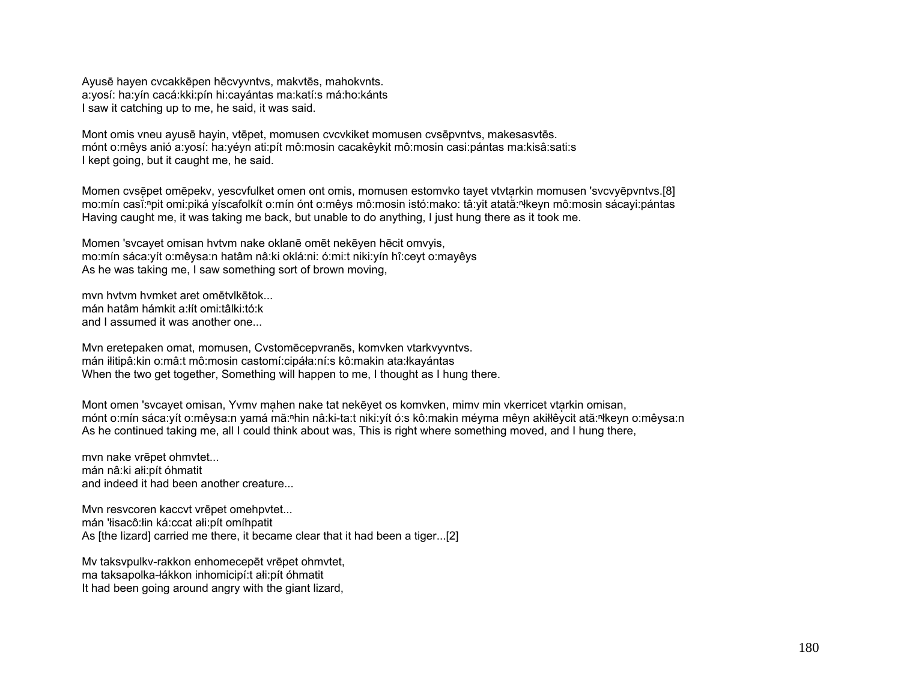Ayusē hayen cvcakkēpen hēcvyvntvs, makvtēs, mahokvnts. a:yosí: ha:yín cacá:kki:pín hi:cayántas ma:katí:s má:ho:kánts I saw it catching up to me, he said, it was said.

Mont omis vneu ayusē hayin, vtēpet, momusen cvcvkiket momusen cvsēpvntvs, makesasvtēs. mónt o:mêys anió a:yosí: ha:yéyn ati:pít mô:mosin cacakêykit mô:mosin casi:pántas ma:kisâ:sati:s I kept going, but it caught me, he said.

Momen cvsēpet omēpekv, yescvfulket omen ont omis, momusen estomvko tayet vtvtarkin momusen 'svcvyēpvntvs.[8] mo:mín casĭ:ʰpit omi:piká yíscafolkít o:mín ónt o:mêys mô:mosin istó:mako: tâ:yit atată:ʰłkeyn mô:mosin sácayi:pántas Having caught me, it was taking me back, but unable to do anything, I just hung there as it took me.

Momen 'svcayet omisan hvtvm nake oklanē omēt nekēyen hēcit omvyis, mo:mín sáca:yít o:mêysa:n hatâm nâ:ki oklá:ni: ó:mi:t niki:yín hî:ceyt o:mayêys As he was taking me, I saw something sort of brown moving,

mvn hvtvm hvmket aret omētvlkētok... mán hatâm hámkit a:łít omi:tâlki:tó:k and I assumed it was another one...

Mvn eretepaken omat, momusen, Cvstomēcepvranēs, komvken vtarkvyvntvs. mán iłitipâ:kin o:mâ:t mô:mosin castomí:cipáła:ní:s kô:makin ata:łkayántas When the two get together, Something will happen to me, I thought as I hung there.

Mont omen 'svcayet omisan, Yvmv mahen nake tat nekēyet os komvken, mimv min vkerricet vtarkin omisan, mónt o:mín sáca:γít o:mêγsa:n yamá mă:ʰhin nâ:ki-ta:t niki:γít ó:s kô:makin méyma mêyn akiłłêycit ată:ʰłkeyn o:mêysa:n As he continued taking me, all I could think about was, This is right where something moved, and I hung there,

mvn nake vrēpet ohmvtet... mán nâ:ki ałi:pít óhmatit and indeed it had been another creature...

Mvn resvcoren kaccvt vrēpet omehpvtet... mán 'łisacô:łin ká:ccat ałi:pít omíhpatit As [the lizard] carried me there, it became clear that it had been a tiger...[2]

Mv taksvpulkv-rakkon enhomecepēt vrēpet ohmvtet, ma taksapolka-łákkon inhomicipí:t ałi:pít óhmatit It had been going around angry with the giant lizard,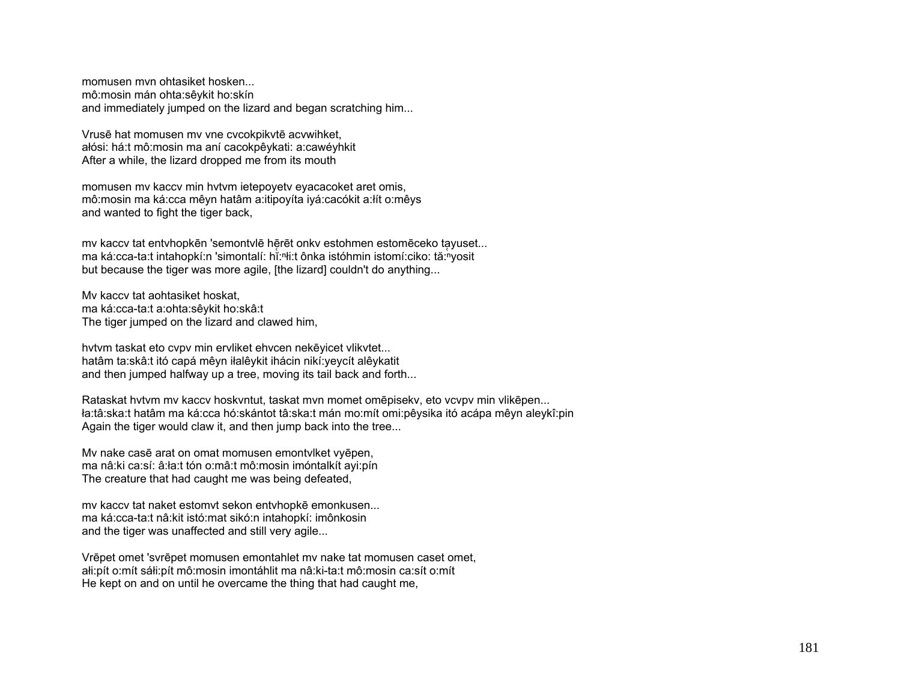momusen mvn ohtasiket hosken... mô:mosin mán ohta:sêykit ho:skín and immediately jumped on the lizard and began scratching him...

Vrusē hat momusen mv vne cvcokpikvtē acvwihket, <sup>a</sup>łósi: há:t mô:mosin ma aní cacokpêykati: a:cawéyhkit After a while, the lizard dropped me from its mouth

momusen mv kaccv min hvtvm ietepoyetv eyacacoket aret omis, mô:mosin ma ká:cca mêyn hatâm a:itipoyíta iyá:cacókit a:łít o:mêys and wanted to fight the tiger back,

mv kaccv tat entvhopkēn 'semontvlē hērēt onkv estohmen estomēceko tayuset... ma ká:cca-ta:t intahopkí:n 'simontalí: hĭ:ʰli:t ônka istóhmin istomí:ciko: tă:ʰyosit but because the tiger was more agile, [the lizard] couldn't do anything...

Mv kaccv tat aohtasiket hoskat, ma ká:cca-ta:t a:ohta:sêykit ho:skâ:t The tiger jumped on the lizard and clawed him,

hvtvm taskat eto cvpv min ervliket ehvcen nekēyicet vlikvtet... hatâm ta:skâ:t itó capá mêyn iłalêykit ihácin nikí:yeycít alêykatit and then jumped halfway up a tree, moving its tail back and forth...

Rataskat hvtvm mv kaccv hoskvntut, taskat mvn momet omēpisekv, eto vcvpv min vlikēpen... ła:tâ:ska:t hatâm ma ká:cca hó:skántot tâ:ska:t mán mo:mít omi:pêysika itó acápa mêyn aleykî:pin Again the tiger would claw it, and then jump back into the tree...

Mv nake casē arat on omat momusen emontvlket vyēpen, ma nâ:ki ca:sí: â:ła:t tón o:mâ:t mô:mosin imóntalkít ayi:pín The creature that had caught me was being defeated,

mv kaccv tat naket estomvt sekon entvhopkē emonkusen... ma ká:cca-ta:t nâ:kit istó:mat sikó:n intahopkí: imônkosin and the tiger was unaffected and still very agile...

Vrēpet omet 'svrēpet momusen emontahlet mv nake tat momusen caset omet, <sup>a</sup>łi:pít o:mít sáłi:pít mô:mosin imontáhlit ma nâ:ki-ta:t mô:mosin ca:sít o:mít He kept on and on until he overcame the thing that had caught me,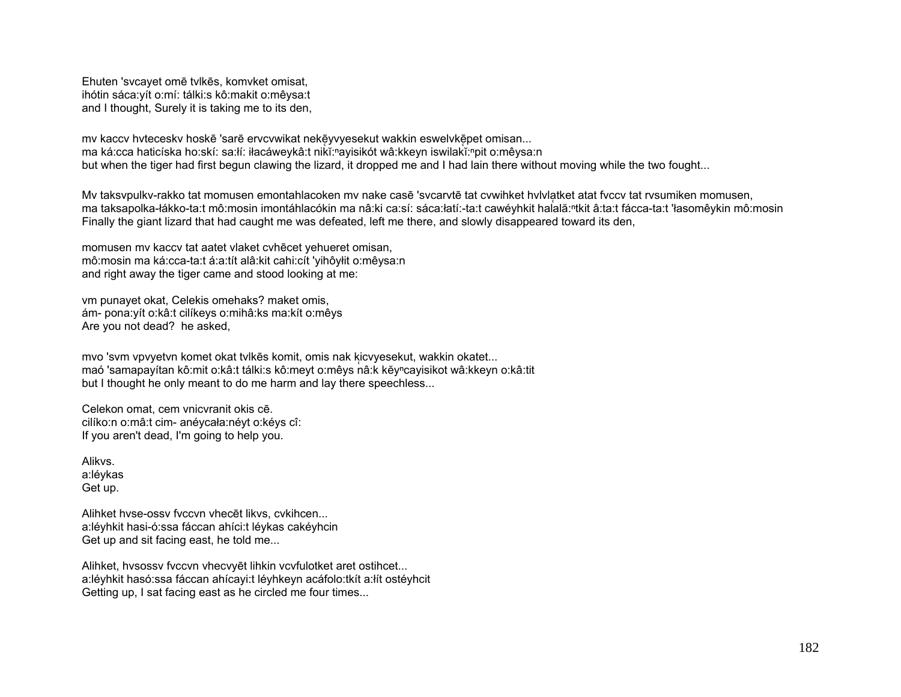Ehuten 'svcayet omē tvlkēs, komvket omisat, ihótin sáca: yít o: mí: tálki: s kô: makit o: mêysa: t and I thought, Surely it is taking me to its den,

my kaccy hytecesky hoskē 'sarē ervcywikat nekēyvyesekut wakkin eswelykēpet omisan... ma ká:cca haticíska ho:skí: sa:łí: iłacáweykâ:t nikĭ:"ayisikót wâ:kkeyn iswilakĭ:"pit o:mêysa:n but when the tiger had first begun clawing the lizard, it dropped me and I had lain there without moving while the two fought...

My taksypulky-rakko tat momusen emontahlacoken my nake casē 'sycarytē tat cywihket hylylatket atat fyccy tat rysumiken momusen, ma taksapolka-łákko-ta:t mô:mosin imontáhlacókin ma nâ:ki ca:sí: sáca:łatí:-ta:t cawéyhkit halală:<sup>n</sup>tkit â:ta:t fácca-ta:t 'łasomêykin mô:mosin Finally the giant lizard that had caught me was defeated, left me there, and slowly disappeared toward its den,

momusen my kaccy tat aatet vlaket cyhecet yehueret omisan, mô:mosin ma ká:cca-ta:t á:a:tít alâ:kit cahi:cít 'vihôyłit o:mêysa:n and right away the tiger came and stood looking at me:

vm punayet okat, Celekis omehaks? maket omis, ám- pona: yít o: kâ: t cilíkeys o: mihâ: ks ma: kít o: mêys Are you not dead? he asked,

mvo 'svm vpvyetvn komet okat tvlkēs komit, omis nak kicvyesekut, wakkin okatet... maó 'samapayítan kô:mit o:kâ:t tálki:s kô:meyt o:mêys nâ:k kĕyncayisikot wâ:kkeyn o:kâ:tit but I thought he only meant to do me harm and lay there speechless...

Celekon omat, cem vnicvranit okis cē. cilíko:n o:mâ:t cim- anévcała:névt o:kévs cî: If you aren't dead, I'm going to help you.

Alikys a:lévkas Get up.

Alihket hyse-ossy fyccyn yhecet likys, cykihcen... a:léyhkit hasi-ó:ssa fáccan ahíci:t léykas cakéyhcin Get up and sit facing east, he told me...

Alihket, hysossy fyccyn yhecyyet lihkin ycyfulotket aret ostihcet... a:léyhkit hasó:ssa fáccan ahícayi:t léyhkeyn acáfolo:tkít a:lít ostéyhcit Getting up, I sat facing east as he circled me four times...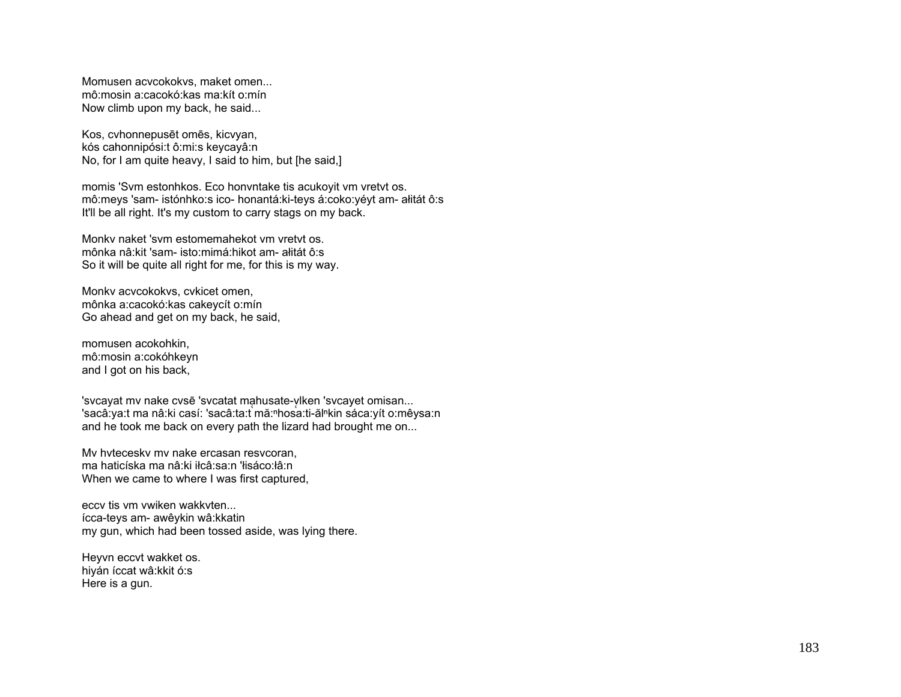Momusen acvcokokvs, maket omen... mô:mosin a:cacokó:kas ma:kít o:mín Now climb upon my back, he said...

Kos, cvhonnepus ēt omēs, kicvyan, kós cahonnipósi:t ô:mi:s keycayâ:n No, for I am quite heavy, I said to him, but [he said,]

momis 'Svm estonhkos. Eco honvntake tis acukoyit vm vretvt os. mô:meys 'sam- istónhko:s ico- honantá:ki-teys á:coko:yéyt am- ałitát ô:s It'll be all right. It's my custom to carry stags on my back.

Monkv naket 'svm estomemahekot vm vretvt os. mônka nâ:kit 'sam- isto:mimá:hikot am- ałitát ô:s So it will be quite all right for me, for this is my way.

Monkv acvcokokvs, cvkicet omen, mônka a:cacokó:kas cakeycít o:mín Go ahead and get on my back, he said,

momusen acokohkin, mô:mosin a:cokóhkeyn and I got on his back,

'svcayat mv nake cvsē 'svcatat ma̯husate-ylken 'svcayet omisan... 'sacâ:ya:t ma nâ:ki casí: 'sacâ:ta:t mă:ʰhosa:ti-ălʰkin sáca:yít o:mêysa:n and he took me back on every path the lizard had brought me on...

Mv hvteceskv mv nake ercasan resvcoran, ma haticíska ma nâ:ki iłcâ:sa:n 'łisáco:łâ:n When we came to where I was first captured,

eccv tis vm vwiken wakkvten... ícca-teys am- awêykin wâ:kkatin my gun, which had been tossed aside, was lying there.

Heyvn eccvt wakket os. hiyán íccat wâ:kkit ó:s Here is a gun.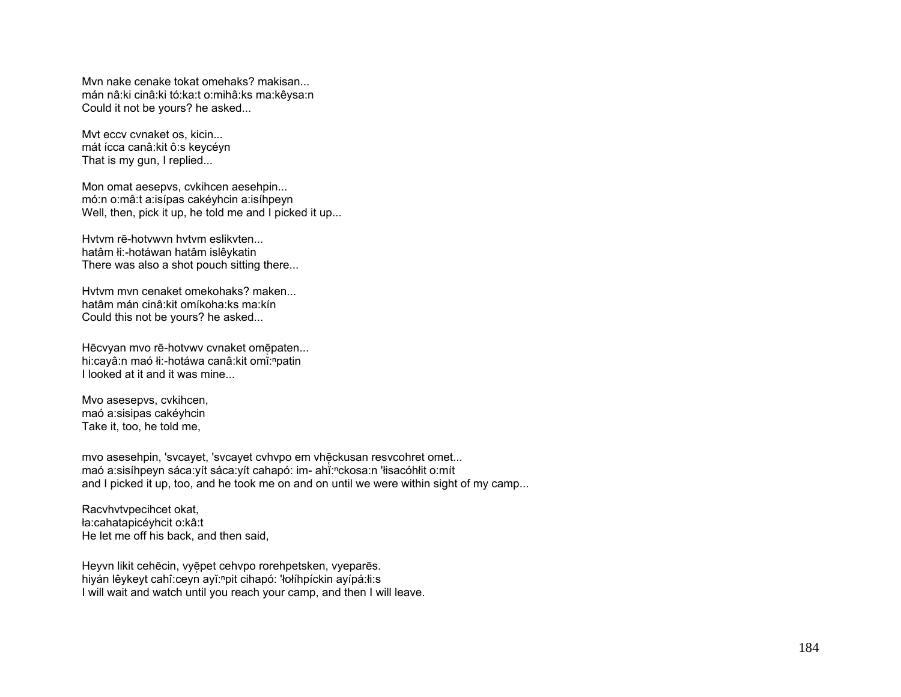Mvn nake cenake tokat omehaks? makisan... mán nâ:ki cinâ:ki tó:ka:t o:mihâ:ks ma:kêysa:n Could it not be yours? he asked...

Mvt eccv cvnaket os, kicin... mát ícca canâ:kit ô:s keycéyn That is my gun, I replied...

Mon omat aesepvs, cvkihcen aesehpin... mó:n o:mâ:t a:isípas cakéyhcin a:isíhpeyn Well, then, pick it up, he told me and I picked it up...

Hvtvm rē-hotvwvn hvtvm eslikvten... hatâm łi:-hotáwan hatâm islêykatin There was also a shot pouch sitting there...

Hvtvm mvn cenaket omekohaks? maken... hatâm mán cinâ:kit omíkoha:ks ma:kín Could this not be yours? he asked...

Hēcvyan mvo rē-hotvwv cvnaket omēpaten... hi:cayâ:n maó łi:-hotáwa canâ:kit omĭ:npatin I looked at it and it was mine...

Mvo asesepvs, cvkihcen, maó a:sisipas cakéyhcin Take it, too, he told me,

mvo asesehpin, 'svcayet, 'svcayet cvhvpo em vhē̯ckusan resvcohret omet... maó a:sisíhpeyn sáca:yít sáca:yít cahapó: im- ahĭ:nckosa:n 'łisacóhłit o:mít and I picked it up, too, and he took me on and on until we were within sight of my camp...

Racvhvtvpecihcet okat, ła:cahatapicéyhcit o:kâ:t He let me off his back, and then said,

Heyvn likit cehēcin, vyēpet cehvpo rorehpetsken, vyeparēs. hiyán lêykeyt cahî: ceyn ayĭ: "pit cihapó: 'łołíhpíckin ayípá:łi: s I will wait and watch until you reach your camp, and then I will leave.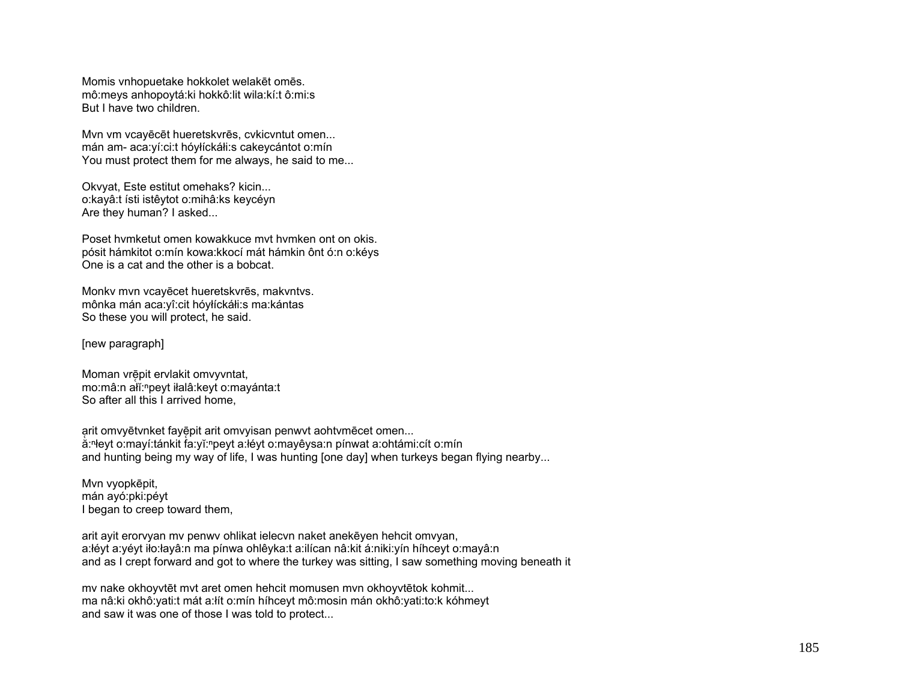Momis vnhopuetake hokkolet welakēt omēs. mô:meys anhopoytá:ki hokkô:lit wila:kí:t ô:mi:s But I have two children.

Mvn vm vcayēcēt hueretskvrēs, cvkicvntut omen... mán am- aca:yí:ci:t hóyłíckáłi:s cakeycántot o:mín You must protect them for me always, he said to me...

Okvyat, Este estitut omehaks? kicin... o:kayâ:t ísti istêytot o:mihâ:ks keycéyn Are they human? I asked...

Poset hvmketut omen kowakkuce mvt hvmken ont on okis. pósit hámkitot o:mín kowa:kkocí mát hámkin ônt ó:n o:kéys One is a cat and the other is a bobcat.

Monkv mvn vcayēcet hueretskvrēs, makvntvs. mônka mán aca:yî:cit hóyłíckáłi:s ma:kántas So these you will protect, he said.

[new paragraph]

Moman vrēpit ervlakit omvyvntat, mo:mâ:n ałĭ:<sup>ⁿ</sup>peyt iłalâ:keyt o:mayánta:t So after all this I arrived home,

a ̜rit omvyētvnket fayē̜pit arit omvyisan penwvt aohtvmēcet omen... ă:ⁿłeyt o:mayí:tánkit fa:yĭ:<sup>ⁿ</sup>peyt a:łéyt o:mayêysa:n pínwat a:ohtámi:cít o:mín and hunting being my way of life, I was hunting [one day] when turkeys began flying nearby...

Mvn vyopkēpit, mán ayó:pki:péyt I began to creep toward them,

arit ayit erorvyan mv penwv ohlikat ielecvn naket anekēyen hehcit omvyan, a:łéyt a:yéyt iło:łayâ:n ma pínwa ohlêyka:t a:ilícan nâ:kit á:niki:yín híhceyt o:mayâ:n and as I crept forward and got to where the turkey was sitting, I saw something moving beneath it

mv nake okhoyvtēt mvt aret omen hehcit momusen mvn okhoyvtētok kohmit... ma nâ:ki okhô:yati:t mát a:łít o:mín híhceyt mô:mosin mán okhô:yati:to:k kóhmeyt and saw it was one of those I was told to protect...